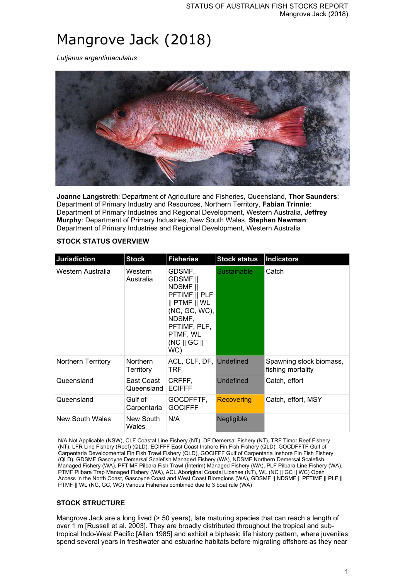# Mangrove Jack (2018)

*Lutjanus argentimaculatus*



**Joanne Langstreth**: Department of Agriculture and Fisheries, Queensland, **Thor Saunders**: Department of Primary Industry and Resources, Northern Territory, **Fabian Trinnie**: Department of Primary Industries and Regional Development, Western Australia, **Jeffrey Murphy**: Department of Primary Industries, New South Wales, **Stephen Newman**: Department of Primary Industries and Regional Development, Western Australia

## **STOCK STATUS OVERVIEW**

| Jurisdiction       | <b>Stock</b>                 | <b>Fisheries</b>                                                                                                                                                                  | <b>Stock status</b> | Indicators                                   |
|--------------------|------------------------------|-----------------------------------------------------------------------------------------------------------------------------------------------------------------------------------|---------------------|----------------------------------------------|
| Western Australia  | Western<br>Australia         | GDSMF,<br><b>GDSMF</b> II<br><b>NDSMF</b> II<br>PFTIMF    PLF<br>$  $ PTMF $  $ WL<br>(NC, GC, WC),<br>NDSMF,<br>PFTIMF, PLF,<br>PTMF, WL<br>$(NC \parallel GC \parallel)$<br>WC) | <b>Sustainable</b>  | Catch                                        |
| Northern Territory | <b>Northern</b><br>Territory | ACL, CLF, DF, Undefined<br>TRF                                                                                                                                                    |                     | Spawning stock biomass,<br>fishing mortality |
| Queensland         | East Coast<br>Queensland     | CRFFF,<br><b>ECIFFF</b>                                                                                                                                                           | <b>Undefined</b>    | Catch, effort                                |
| Queensland         | Gulf of<br>Carpentaria       | GOCDFFTF,<br><b>GOCIFFF</b>                                                                                                                                                       | Recovering          | Catch, effort, MSY                           |
| New South Wales    | New South<br>Wales           | N/A                                                                                                                                                                               | Negligible          |                                              |

N/A Not Applicable (NSW), CLF Coastal Line Fishery (NT), DF Demersal Fishery (NT), TRF Timor Reef Fishery (NT), LFR Line Fishery (Reef) (QLD), ECIFFF East Coast Inshore Fin Fish Fishery (QLD), GOCDFFTF Gulf of Carpentaria Developmental Fin Fish Trawl Fishery (QLD), GOCIFFF Gulf of Carpentaria Inshore Fin Fish Fishery (QLD), GDSMF Gascoyne Demersal Scalefish Managed Fishery (WA), NDSMF Northern Demersal Scalefish Managed Fishery (WA), PFTIMF Pilbara Fish Trawl (Interim) Managed Fishery (WA), PLF Pilbara Line Fishery (WA), PTMF Pilbara Trap Managed Fishery (WA), ACL Aboriginal Coastal License (NT), WL (NC || GC || WC) Open Access in the North Coast, Gascoyne Coast and West Coast Bioregions (WA), GDSMF || NDSMF || PFTIMF || PLF || PTMF || WL (NC, GC, WC) Various Fisheries combined due to 3 boat rule (WA)

# **STOCK STRUCTURE**

Mangrove Jack are a long lived (> 50 years), late maturing species that can reach a length of over 1 m [Russell et al. 2003]. They are broadly distributed throughout the tropical and subtropical Indo-West Pacific [Allen 1985] and exhibit a biphasic life history pattern, where juveniles spend several years in freshwater and estuarine habitats before migrating offshore as they near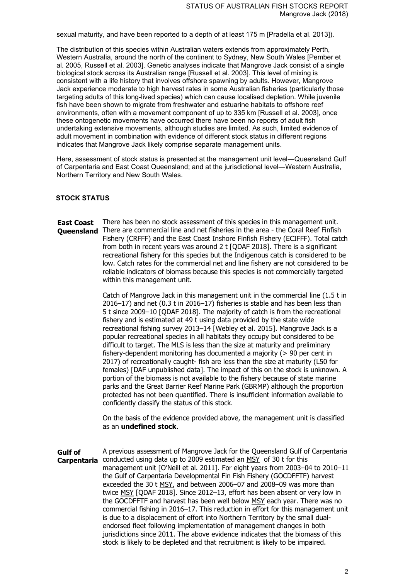sexual maturity, and have been reported to a depth of at least 175 m [Pradella et al. 2013]).

The distribution of this species within Australian waters extends from approximately Perth, Western Australia, around the north of the continent to Sydney, New South Wales [Pember et al. 2005, Russell et al. 2003]. Genetic analyses indicate that Mangrove Jack consist of a single biological stock across its Australian range [Russell et al. 2003]. This level of mixing is consistent with a life history that involves offshore spawning by adults. However, Mangrove Jack experience moderate to high harvest rates in some Australian fisheries (particularly those targeting adults of this long-lived species) which can cause localised depletion. While juvenile fish have been shown to migrate from freshwater and estuarine habitats to offshore reef environments, often with a movement component of up to 335 km [Russell et al. 2003], once these ontogenetic movements have occurred there have been no reports of adult fish undertaking extensive movements, although studies are limited. As such, limited evidence of adult movement in combination with evidence of different stock status in different regions indicates that Mangrove Jack likely comprise separate management units.

Here, assessment of stock status is presented at the management unit level―Queensland Gulf of Carpentaria and East Coast Queensland; and at the jurisdictional level―Western Australia, Northern Territory and New South Wales.

## **STOCK STATUS**

**East Coast Queensland** There are commercial line and net fisheries in the area - the Coral Reef Finfish There has been no stock assessment of this species in this management unit. Fishery (CRFFF) and the East Coast Inshore Finfish Fishery (ECIFFF). Total catch from both in recent years was around 2 t [QDAF 2018]. There is a significant recreational fishery for this species but the Indigenous catch is considered to be low. Catch rates for the commercial net and line fishery are not considered to be reliable indicators of biomass because this species is not commercially targeted within this management unit.

> Catch of Mangrove Jack in this management unit in the commercial line (1.5 t in 2016–17) and net (0.3 t in 2016–17) fisheries is stable and has been less than 5 t since 2009–10 [QDAF 2018]. The majority of catch is from the recreational fishery and is estimated at 49 t using data provided by the state wide recreational fishing survey 2013–14 [Webley et al. 2015]. Mangrove Jack is a popular recreational species in all habitats they occupy but considered to be difficult to target. The MLS is less than the size at maturity and preliminary fishery-dependent monitoring has documented a majority (> 90 per cent in 2017) of recreationally caught- fish are less than the size at maturity (L50 for females) [DAF unpublished data]. The impact of this on the stock is unknown. A portion of the biomass is not available to the fishery because of state marine parks and the Great Barrier Reef Marine Park (GBRMP) although the proportion protected has not been quantified. There is insufficient information available to confidently classify the status of this stock.

On the basis of the evidence provided above, the management unit is classified as an **undefined stock**.

**Gulf of Carpentaria** conducted using data up to 2009 estimated an MSY of 30 t for this A previous assessment of Mangrove Jack for the Queensland Gulf of Carpentaria management unit [O'Neill et al. 2011]. For eight years from 2003–04 to 2010–11 the Gulf of Carpentaria Developmental Fin Fish Fishery (GOCDFFTF) harvest exceeded the 30 t MSY, and between 2006–07 and 2008–09 was more than twice MSY [QDAF 2018]. Since 2012-13, effort has been absent or very low in the GOCDFFTF and harvest has been well below MSY each year. There was no commercial fishing in 2016–17. This reduction in effort for this management unit is due to a displacement of effort into Northern Territory by the small dualendorsed fleet following implementation of management changes in both jurisdictions since 2011. The above evidence indicates that the biomass of this stock is likely to be depleted and that recruitment is likely to be impaired.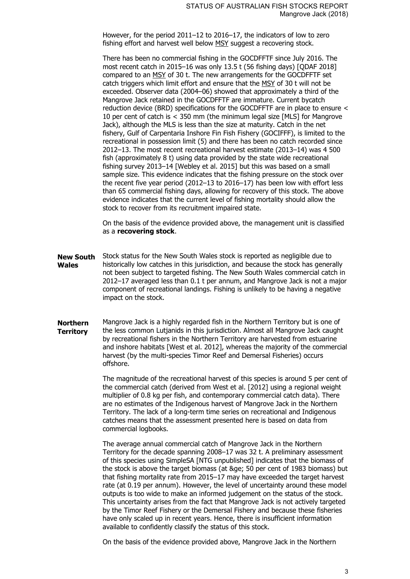However, for the period 2011–12 to 2016–17, the indicators of low to zero fishing effort and harvest well below MSY suggest a recovering stock.

There has been no commercial fishing in the GOCDFFTF since July 2016. The most recent catch in 2015–16 was only 13.5 t (56 fishing days) [QDAF 2018] compared to an MSY of 30 t. The new arrangements for the GOCDFFTF set catch triggers which limit effort and ensure that the MSY of 30 t will not be exceeded. Observer data (2004–06) showed that approximately a third of the Mangrove Jack retained in the GOCDFFTF are immature. Current bycatch reduction device (BRD) specifications for the GOCDFFTF are in place to ensure < 10 per cent of catch is < 350 mm (the minimum legal size [MLS] for Mangrove Jack), although the MLS is less than the size at maturity. Catch in the net fishery, Gulf of Carpentaria Inshore Fin Fish Fishery (GOCIFFF), is limited to the recreational in possession limit (5) and there has been no catch recorded since 2012–13. The most recent recreational harvest estimate (2013–14) was 4 500 fish (approximately 8 t) using data provided by the state wide recreational fishing survey 2013–14 [Webley et al. 2015] but this was based on a small sample size. This evidence indicates that the fishing pressure on the stock over the recent five year period (2012–13 to 2016–17) has been low with effort less than 65 commercial fishing days, allowing for recovery of this stock. The above evidence indicates that the current level of fishing mortality should allow the stock to recover from its recruitment impaired state.

On the basis of the evidence provided above, the management unit is classified as a **recovering stock**.

- **New South Wales** Stock status for the New South Wales stock is reported as negligible due to historically low catches in this jurisdiction, and because the stock has generally not been subject to targeted fishing. The New South Wales commercial catch in 2012–17 averaged less than 0.1 t per annum, and Mangrove Jack is not a major component of recreational landings. Fishing is unlikely to be having a negative impact on the stock.
- **Northern Territory** Mangrove Jack is a highly regarded fish in the Northern Territory but is one of the less common Lutjanids in this jurisdiction. Almost all Mangrove Jack caught by recreational fishers in the Northern Territory are harvested from estuarine and inshore habitats [West et al. 2012], whereas the majority of the commercial harvest (by the multi-species Timor Reef and Demersal Fisheries) occurs offshore.

The magnitude of the recreational harvest of this species is around 5 per cent of the commercial catch (derived from West et al. [2012] using a regional weight multiplier of 0.8 kg per fish, and contemporary commercial catch data). There are no estimates of the Indigenous harvest of Mangrove Jack in the Northern Territory. The lack of a long-term time series on recreational and Indigenous catches means that the assessment presented here is based on data from commercial logbooks.

The average annual commercial catch of Mangrove Jack in the Northern Territory for the decade spanning 2008–17 was 32 t. A preliminary assessment of this species using SimpleSA [NTG unpublished] indicates that the biomass of the stock is above the target biomass (at ≥ 50 per cent of 1983 biomass) but that fishing mortality rate from 2015–17 may have exceeded the target harvest rate (at 0.19 per annum). However, the level of uncertainty around these model outputs is too wide to make an informed judgement on the status of the stock. This uncertainty arises from the fact that Mangrove Jack is not actively targeted by the Timor Reef Fishery or the Demersal Fishery and because these fisheries have only scaled up in recent years. Hence, there is insufficient information available to confidently classify the status of this stock.

On the basis of the evidence provided above, Mangrove Jack in the Northern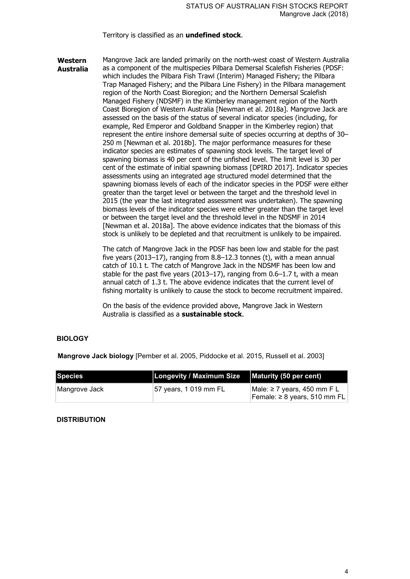## Territory is classified as an **undefined stock**.

**Western Australia** Mangrove Jack are landed primarily on the north-west coast of Western Australia as a component of the multispecies Pilbara Demersal Scalefish Fisheries (PDSF: which includes the Pilbara Fish Trawl (Interim) Managed Fishery; the Pilbara Trap Managed Fishery; and the Pilbara Line Fishery) in the Pilbara management region of the North Coast Bioregion; and the Northern Demersal Scalefish Managed Fishery (NDSMF) in the Kimberley management region of the North Coast Bioregion of Western Australia [Newman et al. 2018a]. Mangrove Jack are assessed on the basis of the status of several indicator species (including, for example, Red Emperor and Goldband Snapper in the Kimberley region) that represent the entire inshore demersal suite of species occurring at depths of 30– 250 m [Newman et al. 2018b]. The major performance measures for these indicator species are estimates of spawning stock levels. The target level of spawning biomass is 40 per cent of the unfished level. The limit level is 30 per cent of the estimate of initial spawning biomass [DPIRD 2017]. Indicator species assessments using an integrated age structured model determined that the spawning biomass levels of each of the indicator species in the PDSF were either greater than the target level or between the target and the threshold level in 2015 (the year the last integrated assessment was undertaken). The spawning biomass levels of the indicator species were either greater than the target level or between the target level and the threshold level in the NDSMF in 2014 [Newman et al. 2018a]. The above evidence indicates that the biomass of this stock is unlikely to be depleted and that recruitment is unlikely to be impaired.

> The catch of Mangrove Jack in the PDSF has been low and stable for the past five years (2013–17), ranging from 8.8–12.3 tonnes (t), with a mean annual catch of 10.1 t. The catch of Mangrove Jack in the NDSMF has been low and stable for the past five years (2013–17), ranging from 0.6–1.7 t, with a mean annual catch of 1.3 t. The above evidence indicates that the current level of fishing mortality is unlikely to cause the stock to become recruitment impaired.

On the basis of the evidence provided above, Mangrove Jack in Western Australia is classified as a **sustainable stock**.

## **BIOLOGY**

**Mangrove Jack biology** [Pember et al. 2005, Piddocke et al. 2015, Russell et al. 2003]

| Species       | Longevity / Maximum Size | Maturity (50 per cent)                                           |
|---------------|--------------------------|------------------------------------------------------------------|
| Mangrove Jack | 57 years, 1 019 mm FL    | Male: ≥ 7 years, 450 mm F L<br>Female: $\geq 8$ years, 510 mm FL |

## **DISTRIBUTION**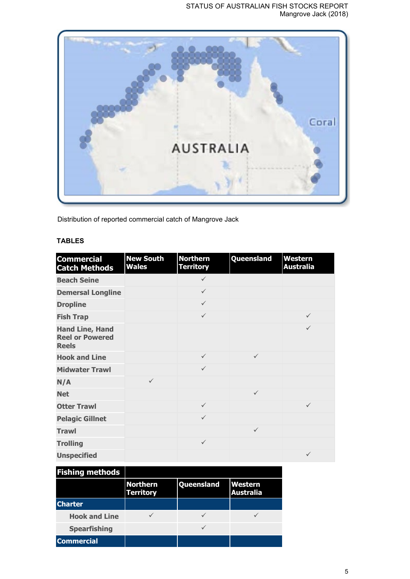

Distribution of reported commercial catch of Mangrove Jack

# **TABLES**

| <b>Commercial</b><br><b>Catch Methods</b>                        | <b>New South</b><br><b>Wales</b> | <b>Northern</b><br><b>Territory</b> | Queensland   | <b>Western</b><br><b>Australia</b> |
|------------------------------------------------------------------|----------------------------------|-------------------------------------|--------------|------------------------------------|
| <b>Beach Seine</b>                                               |                                  | $\checkmark$                        |              |                                    |
| <b>Demersal Longline</b>                                         |                                  | $\checkmark$                        |              |                                    |
| <b>Dropline</b>                                                  |                                  | $\checkmark$                        |              |                                    |
| <b>Fish Trap</b>                                                 |                                  | $\checkmark$                        |              | $\checkmark$                       |
| <b>Hand Line, Hand</b><br><b>Reel or Powered</b><br><b>Reels</b> |                                  |                                     |              | $\checkmark$                       |
| <b>Hook and Line</b>                                             |                                  | $\checkmark$                        | $\checkmark$ |                                    |
| <b>Midwater Trawl</b>                                            |                                  | $\checkmark$                        |              |                                    |
| N/A                                                              | $\checkmark$                     |                                     |              |                                    |
| <b>Net</b>                                                       |                                  |                                     | $\checkmark$ |                                    |
| <b>Otter Trawl</b>                                               |                                  | $\checkmark$                        |              | $\checkmark$                       |
| <b>Pelagic Gillnet</b>                                           |                                  | $\checkmark$                        |              |                                    |
| <b>Trawl</b>                                                     |                                  |                                     | $\checkmark$ |                                    |
| <b>Trolling</b>                                                  |                                  | $\checkmark$                        |              |                                    |
| <b>Unspecified</b>                                               |                                  |                                     |              | $\checkmark$                       |

| <b>Fishing methods</b> |                                     |                   |                             |
|------------------------|-------------------------------------|-------------------|-----------------------------|
|                        | <b>Northern</b><br><b>Territory</b> | <b>Queensland</b> | Western<br><b>Australia</b> |
| <b>Charter</b>         |                                     |                   |                             |
| <b>Hook and Line</b>   |                                     |                   |                             |
| <b>Spearfishing</b>    |                                     |                   |                             |
| <b>Commercial</b>      |                                     |                   |                             |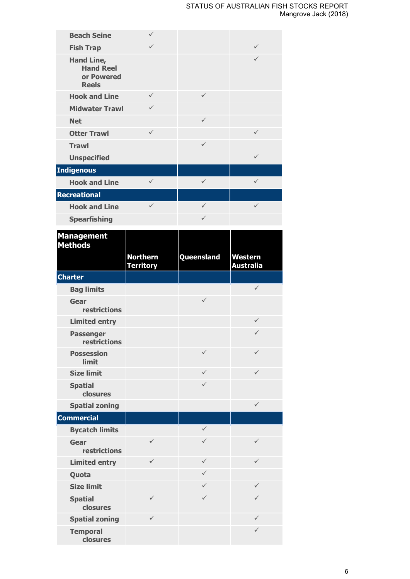| <b>Beach Seine</b>                                           | $\checkmark$                        |              |                             |
|--------------------------------------------------------------|-------------------------------------|--------------|-----------------------------|
| <b>Fish Trap</b>                                             | $\checkmark$                        |              | ✓                           |
| Hand Line,<br><b>Hand Reel</b><br>or Powered<br><b>Reels</b> |                                     |              | ✓                           |
| <b>Hook and Line</b>                                         | $\checkmark$                        | $\checkmark$ |                             |
| <b>Midwater Trawl</b>                                        | $\checkmark$                        |              |                             |
| <b>Net</b>                                                   |                                     | $\checkmark$ |                             |
| <b>Otter Trawl</b>                                           | $\checkmark$                        |              | ✓                           |
| <b>Trawl</b>                                                 |                                     | $\checkmark$ |                             |
| <b>Unspecified</b>                                           |                                     |              | ✓                           |
| <b>Indigenous</b>                                            |                                     |              |                             |
| <b>Hook and Line</b>                                         | $\checkmark$                        | $\checkmark$ | $\checkmark$                |
| <b>Recreational</b>                                          |                                     |              |                             |
| <b>Hook and Line</b>                                         | $\checkmark$                        | $\checkmark$ | $\checkmark$                |
| <b>Spearfishing</b>                                          |                                     | $\checkmark$ |                             |
| <b>Management</b><br><b>Methods</b>                          |                                     |              |                             |
|                                                              | <b>Northern</b><br><b>Territory</b> | Queensland   | Western<br><b>Australia</b> |
| <b>Charter</b>                                               |                                     |              |                             |
|                                                              |                                     |              |                             |
| <b>Bag limits</b>                                            |                                     |              | $\checkmark$                |
| Gear<br>restrictions                                         |                                     | $\checkmark$ |                             |
| <b>Limited entry</b>                                         |                                     |              | ✓                           |
| <b>Passenger</b><br>restrictions                             |                                     |              | $\checkmark$                |
| <b>Possession</b><br>limit                                   |                                     | $\checkmark$ | $\checkmark$                |
| <b>Size limit</b>                                            |                                     | $\checkmark$ | $\checkmark$                |
| <b>Spatial</b><br>closures                                   |                                     | $\checkmark$ |                             |
| <b>Spatial zoning</b>                                        |                                     |              | $\checkmark$                |
| <b>Commercial</b>                                            |                                     |              |                             |
| <b>Bycatch limits</b>                                        |                                     | $\checkmark$ |                             |
| Gear<br>restrictions                                         | ✓                                   | $\checkmark$ | ✓                           |
| <b>Limited entry</b>                                         | $\checkmark$                        | $\checkmark$ | ✓                           |
| Quota                                                        |                                     | $\checkmark$ |                             |
| <b>Size limit</b>                                            |                                     | $\checkmark$ | ✓                           |
| <b>Spatial</b><br>closures                                   | ✓                                   | $\checkmark$ | ✓                           |
| <b>Spatial zoning</b>                                        | $\checkmark$                        |              | ✓                           |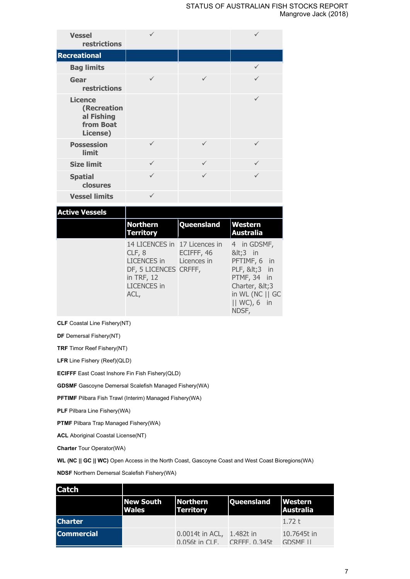| <b>Vessel</b><br>restrictions                                        |              |              |   |
|----------------------------------------------------------------------|--------------|--------------|---|
| <b>Recreational</b>                                                  |              |              |   |
| <b>Bag limits</b>                                                    |              |              |   |
| Gear<br>restrictions                                                 | ✓            | $\checkmark$ | ✓ |
| <b>Licence</b><br>(Recreation<br>al Fishing<br>from Boat<br>License) |              |              | ✓ |
| <b>Possession</b><br>limit                                           | $\checkmark$ | $\checkmark$ | ✓ |
| <b>Size limit</b>                                                    | $\checkmark$ | $\checkmark$ | ✓ |
| <b>Spatial</b><br>closures                                           | $\checkmark$ | $\checkmark$ | ✓ |
| <b>Vessel limits</b>                                                 | ✓            |              |   |

# **Active Vessels**

| Northern<br>Territory                                                                                                       | Queensland                | Western<br>Australia                                                                                                           |
|-----------------------------------------------------------------------------------------------------------------------------|---------------------------|--------------------------------------------------------------------------------------------------------------------------------|
| 14 LICENCES in 17 Licences in<br>CLF, 8<br>LICENCES in<br>DF, 5 LICENCES CRFFF,<br>in TRF, 12<br><b>LICENCES</b> in<br>ACL, | ECIFFF, 46<br>Licences in | 4 in GDSMF,<br><3 in<br>PFTIMF, 6 in<br>PLF, <3 in<br>PTMF, 34 in<br>Charter, <3<br>in WL (NC    GC<br>$  $ WC), 6 in<br>NDSF, |

**CLF** Coastal Line Fishery(NT)

**DF** Demersal Fishery(NT)

**TRF** Timor Reef Fishery(NT)

**LFR** Line Fishery (Reef)(QLD)

**ECIFFF** East Coast Inshore Fin Fish Fishery(QLD)

**GDSMF** Gascoyne Demersal Scalefish Managed Fishery(WA)

**PFTIMF** Pilbara Fish Trawl (Interim) Managed Fishery(WA)

**PLF** Pilbara Line Fishery(WA)

**PTMF** Pilbara Trap Managed Fishery(WA)

**ACL** Aboriginal Coastal License(NT)

**Charter** Tour Operator(WA)

**WL (NC || GC || WC)** Open Access in the North Coast, Gascoyne Coast and West Coast Bioregions(WA)

**NDSF** Northern Demersal Scalefish Fishery(WA)

| <b>Catch</b>      |                                  |                                                                 |                   |                                |
|-------------------|----------------------------------|-----------------------------------------------------------------|-------------------|--------------------------------|
|                   | <b>New South</b><br><b>Wales</b> | <b>Northern</b><br><b>Territory</b>                             | <b>Queensland</b> | Western<br><b>Australia</b>    |
| <b>Charter</b>    |                                  |                                                                 |                   | 1.72 $t$                       |
| <b>Commercial</b> |                                  | 0.0014t in ACL, 1.482t in<br>$0.056t$ in $CIF$ $CRFFF$ $0.345t$ |                   | 10.7645t in<br><b>GDSMF II</b> |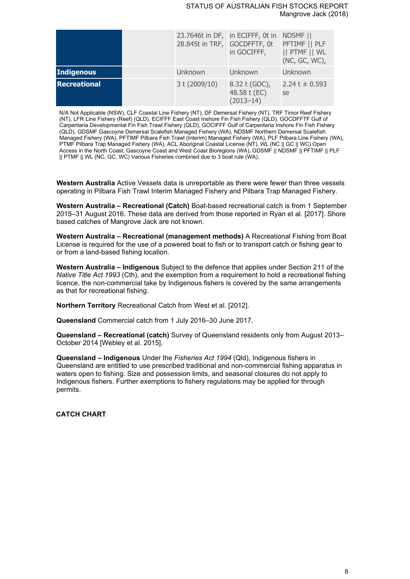### STATUS OF AUSTRALIAN FISH STOCKS REPORT Mangrove Jack (2018)

|                   | 28.845t in TRF, GOCDFFTF, 0t | 23.7646t in DF, in ECIFFF, 0t in NDSMF   <br>in GOCIFFF, | PFTIMF    PLF<br>   PTMF    WL<br>(NC, GC, WC), |
|-------------------|------------------------------|----------------------------------------------------------|-------------------------------------------------|
| <b>Indigenous</b> | Unknown                      | Unknown                                                  | Unknown                                         |
| Recreational      | 3 t (2009/10)                | 8.32 t (GOC),<br>48.58 t (EC)<br>$(2013 - 14)$           | 2.24 t $\pm$ 0.593<br>se                        |

N/A Not Applicable (NSW), CLF Coastal Line Fishery (NT), DF Demersal Fishery (NT), TRF Timor Reef Fishery (NT), LFR Line Fishery (Reef) (QLD), ECIFFF East Coast Inshore Fin Fish Fishery (QLD), GOCDFFTF Gulf of Carpentaria Developmental Fin Fish Trawl Fishery (QLD), GOCIFFF Gulf of Carpentaria Inshore Fin Fish Fishery (QLD), GDSMF Gascoyne Demersal Scalefish Managed Fishery (WA), NDSMF Northern Demersal Scalefish Managed Fishery (WA), PFTIMF Pilbara Fish Trawl (Interim) Managed Fishery (WA), PLF Pilbara Line Fishery (WA), PTMF Pilbara Trap Managed Fishery (WA), ACL Aboriginal Coastal License (NT), WL (NC || GC || WC) Open Access in the North Coast, Gascoyne Coast and West Coast Bioregions (WA), GDSMF || NDSMF || PFTIMF || PLF || PTMF || WL (NC, GC, WC) Various Fisheries combined due to 3 boat rule (WA),

**Western Australia** Active Vessels data is unreportable as there were fewer than three vessels operating in Pilbara Fish Trawl Interim Managed Fishery and Pilbara Trap Managed Fishery.

**Western Australia – Recreational (Catch)** Boat-based recreational catch is from 1 September 2015–31 August 2016. These data are derived from those reported in Ryan et al. [2017]. Shore based catches of Mangrove Jack are not known.

**Western Australia – Recreational (management methods)** A Recreational Fishing from Boat License is required for the use of a powered boat to fish or to transport catch or fishing gear to or from a land-based fishing location.

**Western Australia – Indigenous** Subject to the defence that applies under Section 211 of the *Native Title Act 1993* (Cth), and the exemption from a requirement to hold a recreational fishing licence, the non-commercial take by Indigenous fishers is covered by the same arrangements as that for recreational fishing.

**Northern Territory** Recreational Catch from West et al. [2012].

**Queensland** Commercial catch from 1 July 2016–30 June 2017.

**Queensland – Recreational (catch)** Survey of Queensland residents only from August 2013– October 2014 [Webley et al. 2015].

**Queensland – Indigenous** Under the *Fisheries Act 1994* (Qld), Indigenous fishers in Queensland are entitled to use prescribed traditional and non-commercial fishing apparatus in waters open to fishing. Size and possession limits, and seasonal closures do not apply to Indigenous fishers. Further exemptions to fishery regulations may be applied for through permits.

**CATCH CHART**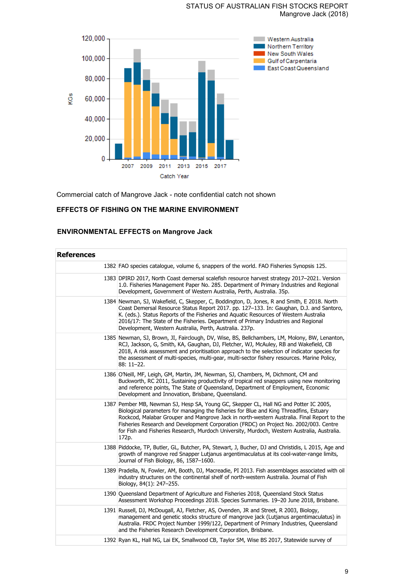## STATUS OF AUSTRALIAN FISH STOCKS REPORT Mangrove Jack (2018)



Commercial catch of Mangrove Jack - note confidential catch not shown

# **EFFECTS OF FISHING ON THE MARINE ENVIRONMENT**

# **ENVIRONMENTAL EFFECTS on Mangrove Jack**

| <b>References</b> |                                                                                                                                                                                                                                                                                                                                                                                                                                                                                |
|-------------------|--------------------------------------------------------------------------------------------------------------------------------------------------------------------------------------------------------------------------------------------------------------------------------------------------------------------------------------------------------------------------------------------------------------------------------------------------------------------------------|
|                   | 1382 FAO species catalogue, volume 6, snappers of the world. FAO Fisheries Synopsis 125.                                                                                                                                                                                                                                                                                                                                                                                       |
|                   | 1383 DPIRD 2017, North Coast demersal scalefish resource harvest strategy 2017-2021. Version<br>1.0. Fisheries Management Paper No. 285. Department of Primary Industries and Regional<br>Development, Government of Western Australia, Perth, Australia. 35p.                                                                                                                                                                                                                 |
|                   | 1384 Newman, SJ, Wakefield, C, Skepper, C, Boddington, D, Jones, R and Smith, E 2018. North<br>Coast Demersal Resource Status Report 2017. pp. 127-133. In: Gaughan, D.J. and Santoro,<br>K. (eds.). Status Reports of the Fisheries and Aquatic Resources of Western Australia<br>2016/17: The State of the Fisheries. Department of Primary Industries and Regional<br>Development, Western Australia, Perth, Australia. 237p.                                               |
|                   | 1385 Newman, SJ, Brown, JI, Fairclough, DV, Wise, BS, Bellchambers, LM, Molony, BW, Lenanton,<br>RCJ, Jackson, G, Smith, KA, Gaughan, DJ, Fletcher, WJ, McAuley, RB and Wakefield, CB<br>2018, A risk assessment and prioritisation approach to the selection of indicator species for<br>the assessment of multi-species, multi-gear, multi-sector fishery resources. Marine Policy,<br>88: 11-22.                                                                            |
|                   | 1386 O'Neill, MF, Leigh, GM, Martin, JM, Newman, SJ, Chambers, M, Dichmont, CM and<br>Buckworth, RC 2011, Sustaining productivity of tropical red snappers using new monitoring<br>and reference points, The State of Queensland, Department of Employment, Economic<br>Development and Innovation, Brisbane, Queensland.                                                                                                                                                      |
|                   | 1387 Pember MB, Newman SJ, Hesp SA, Young GC, Skepper CL, Hall NG and Potter IC 2005,<br>Biological parameters for managing the fisheries for Blue and King Threadfins, Estuary<br>Rockcod, Malabar Grouper and Mangrove Jack in north-western Australia. Final Report to the<br>Fisheries Research and Development Corporation (FRDC) on Project No. 2002/003. Centre<br>for Fish and Fisheries Research, Murdoch University, Murdoch, Western Australia, Australia.<br>172p. |
|                   | 1388 Piddocke, TP, Butler, GL, Butcher, PA, Stewart, J, Bucher, DJ and Christidis, L 2015, Age and<br>growth of mangrove red Snapper Lutjanus argentimaculatus at its cool-water-range limits,<br>Journal of Fish Biology, 86, 1587-1600.                                                                                                                                                                                                                                      |
|                   | 1389 Pradella, N, Fowler, AM, Booth, DJ, Macreadie, PI 2013. Fish assemblages associated with oil<br>industry structures on the continental shelf of north-western Australia. Journal of Fish<br>Biology, 84(1): 247-255.                                                                                                                                                                                                                                                      |
|                   | 1390 Queensland Department of Agriculture and Fisheries 2018, Queensland Stock Status<br>Assessment Workshop Proceedings 2018. Species Summaries. 19-20 June 2018, Brisbane.                                                                                                                                                                                                                                                                                                   |
|                   | 1391 Russell, DJ, McDougall, AJ, Fletcher, AS, Ovenden, JR and Street, R 2003, Biology,<br>management and genetic stocks structure of mangrove jack (Lutjanus argentimaculatus) in<br>Australia. FRDC Project Number 1999/122, Department of Primary Industries, Queensland<br>and the Fisheries Research Development Corporation, Brisbane.                                                                                                                                   |
|                   | 1392 Ryan KL, Hall NG, Lai EK, Smallwood CB, Taylor SM, Wise BS 2017, Statewide survey of                                                                                                                                                                                                                                                                                                                                                                                      |